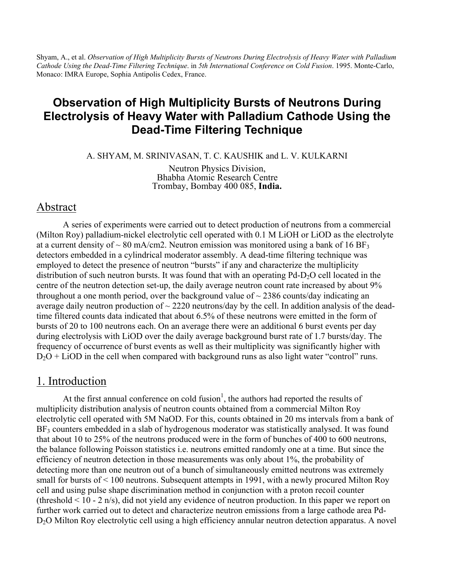Shyam, A., et al. *Observation of High Multiplicity Bursts of Neutrons During Electrolysis of Heavy Water with Palladium Cathode Using the Dead-Time Filtering Technique*. in *5th International Conference on Cold Fusion*. 1995. Monte-Carlo, Monaco: IMRA Europe, Sophia Antipolis Cedex, France.

# **Observation of High Multiplicity Bursts of Neutrons During Electrolysis of Heavy Water with Palladium Cathode Using the Dead-Time Filtering Technique**

A. SHYAM, M. SRINIVASAN, T. C. KAUSHIK and L. V. KULKARNI

Neutron Physics Division, Bhabha Atomic Research Centre Trombay, Bombay 400 085, **India.**

### Abstract

A series of experiments were carried out to detect production of neutrons from a commercial (Milton Roy) palladium-nickel electrolytic cell operated with 0.1 M LiOH or LiOD as the electrolyte at a current density of  $\sim 80$  mA/cm2. Neutron emission was monitored using a bank of 16 BF<sub>3</sub> detectors embedded in a cylindrical moderator assembly. A dead-time filtering technique was employed to detect the presence of neutron "bursts" if any and characterize the multiplicity distribution of such neutron bursts. It was found that with an operating  $Pd-D<sub>2</sub>O$  cell located in the centre of the neutron detection set-up, the daily average neutron count rate increased by about 9% throughout a one month period, over the background value of  $\sim$  2386 counts/day indicating an average daily neutron production of  $\sim$  2220 neutrons/day by the cell. In addition analysis of the deadtime filtered counts data indicated that about 6.5% of these neutrons were emitted in the form of bursts of 20 to 100 neutrons each. On an average there were an additional 6 burst events per day during electrolysis with LiOD over the daily average background burst rate of 1.7 bursts/day. The frequency of occurrence of burst events as well as their multiplicity was significantly higher with  $D_2O + LiOD$  in the cell when compared with background runs as also light water "control" runs.

#### 1. Introduction

At the first annual conference on cold fusion<sup>1</sup>, the authors had reported the results of multiplicity distribution analysis of neutron counts obtained from a commercial Milton Roy electrolytic cell operated with 5M NaOD. For this, counts obtained in 20 ms intervals from a bank of BF<sub>3</sub> counters embedded in a slab of hydrogenous moderator was statistically analysed. It was found that about 10 to 25% of the neutrons produced were in the form of bunches of 400 to 600 neutrons, the balance following Poisson statistics i.e. neutrons emitted randomly one at a time. But since the efficiency of neutron detection in those measurements was only about 1%, the probability of detecting more than one neutron out of a bunch of simultaneously emitted neutrons was extremely small for bursts of < 100 neutrons. Subsequent attempts in 1991, with a newly procured Milton Roy cell and using pulse shape discrimination method in conjunction with a proton recoil counter (threshold  $\leq 10 - 2$  n/s), did not yield any evidence of neutron production. In this paper we report on further work carried out to detect and characterize neutron emissions from a large cathode area Pd-D<sub>2</sub>O Milton Roy electrolytic cell using a high efficiency annular neutron detection apparatus. A novel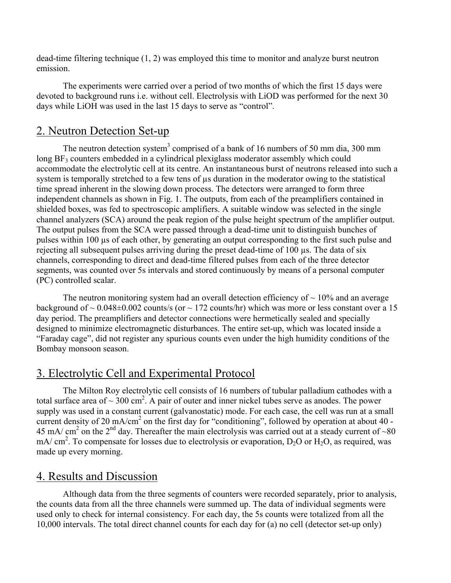dead-time filtering technique (1, 2) was employed this time to monitor and analyze burst neutron emission.

The experiments were carried over a period of two months of which the first 15 days were devoted to background runs i.e. without cell. Electrolysis with LiOD was performed for the next 30 days while LiOH was used in the last 15 days to serve as "control".

# 2. Neutron Detection Set-up

The neutron detection system<sup>3</sup> comprised of a bank of 16 numbers of 50 mm dia, 300 mm  $\log BF_3$  counters embedded in a cylindrical plexiglass moderator assembly which could accommodate the electrolytic cell at its centre. An instantaneous burst of neutrons released into such a system is temporally stretched to a few tens of  $\mu$ s duration in the moderator owing to the statistical time spread inherent in the slowing down process. The detectors were arranged to form three independent channels as shown in Fig. 1. The outputs, from each of the preamplifiers contained in shielded boxes, was fed to spectroscopic amplifiers. A suitable window was selected in the single channel analyzers (SCA) around the peak region of the pulse height spectrum of the amplifier output. The output pulses from the SCA were passed through a dead-time unit to distinguish bunches of pulses within 100 µs of each other, by generating an output corresponding to the first such pulse and rejecting all subsequent pulses arriving during the preset dead-time of 100 µs. The data of six channels, corresponding to direct and dead-time filtered pulses from each of the three detector segments, was counted over 5s intervals and stored continuously by means of a personal computer (PC) controlled scalar.

The neutron monitoring system had an overall detection efficiency of  $\sim$  10% and an average background of  $\sim 0.048\pm0.002$  counts/s (or  $\sim 172$  counts/hr) which was more or less constant over a 15 day period. The preamplifiers and detector connections were hermetically sealed and specially designed to minimize electromagnetic disturbances. The entire set-up, which was located inside a "Faraday cage", did not register any spurious counts even under the high humidity conditions of the Bombay monsoon season.

# 3. Electrolytic Cell and Experimental Protocol

The Milton Roy electrolytic cell consists of 16 numbers of tubular palladium cathodes with a total surface area of  $\sim$  300 cm<sup>2</sup>. A pair of outer and inner nickel tubes serve as anodes. The power supply was used in a constant current (galvanostatic) mode. For each case, the cell was run at a small current density of 20 mA/cm<sup>2</sup> on the first day for "conditioning", followed by operation at about 40 -45 mA/ cm<sup>2</sup> on the 2<sup>nd</sup> day. Thereafter the main electrolysis was carried out at a steady current of ~80 mA/ cm<sup>2</sup>. To compensate for losses due to electrolysis or evaporation,  $D_2O$  or  $H_2O$ , as required, was made up every morning.

### 4. Results and Discussion

Although data from the three segments of counters were recorded separately, prior to analysis, the counts data from all the three channels were summed up. The data of individual segments were used only to check for internal consistency. For each day, the 5s counts were totalized from all the 10,000 intervals. The total direct channel counts for each day for (a) no cell (detector set-up only)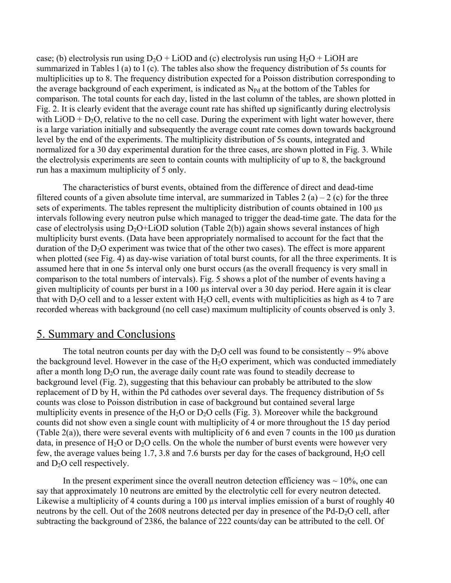case; (b) electrolysis run using  $D_2O + LiOD$  and (c) electrolysis run using  $H_2O + LiOH$  are summarized in Tables l (a) to l (c). The tables also show the frequency distribution of 5s counts for multiplicities up to 8. The frequency distribution expected for a Poisson distribution corresponding to the average background of each experiment, is indicated as  $N_{\text{Pd}}$  at the bottom of the Tables for comparison. The total counts for each day, listed in the last column of the tables, are shown plotted in Fig. 2. It is clearly evident that the average count rate has shifted up significantly during electrolysis with  $LiOD + D<sub>2</sub>O$ , relative to the no cell case. During the experiment with light water however, there is a large variation initially and subsequently the average count rate comes down towards background level by the end of the experiments. The multiplicity distribution of 5s counts, integrated and normalized for a 30 day experimental duration for the three cases, are shown plotted in Fig. 3. While the electrolysis experiments are seen to contain counts with multiplicity of up to 8, the background run has a maximum multiplicity of 5 only.

The characteristics of burst events, obtained from the difference of direct and dead-time filtered counts of a given absolute time interval, are summarized in Tables 2 (a) – 2 (c) for the three sets of experiments. The tables represent the multiplicity distribution of counts obtained in 100 µs intervals following every neutron pulse which managed to trigger the dead-time gate. The data for the case of electrolysis using  $D_2O+LiOD$  solution (Table 2(b)) again shows several instances of high multiplicity burst events. (Data have been appropriately normalised to account for the fact that the duration of the  $D_2O$  experiment was twice that of the other two cases). The effect is more apparent when plotted (see Fig. 4) as day-wise variation of total burst counts, for all the three experiments. It is assumed here that in one 5s interval only one burst occurs (as the overall frequency is very small in comparison to the total numbers of intervals). Fig. 5 shows a plot of the number of events having a given multiplicity of counts per burst in a 100 µs interval over a 30 day period. Here again it is clear that with  $D_2O$  cell and to a lesser extent with  $H_2O$  cell, events with multiplicities as high as 4 to 7 are recorded whereas with background (no cell case) maximum multiplicity of counts observed is only 3.

### 5. Summary and Conclusions

The total neutron counts per day with the D<sub>2</sub>O cell was found to be consistently  $\sim$  9% above the background level. However in the case of the  $H_2O$  experiment, which was conducted immediately after a month long  $D_2O$  run, the average daily count rate was found to steadily decrease to background level (Fig. 2), suggesting that this behaviour can probably be attributed to the slow replacement of D by H, within the Pd cathodes over several days. The frequency distribution of 5s counts was close to Poisson distribution in case of background but contained several large multiplicity events in presence of the  $H_2O$  or  $D_2O$  cells (Fig. 3). Moreover while the background counts did not show even a single count with multiplicity of 4 or more throughout the 15 day period (Table 2(a)), there were several events with multiplicity of 6 and even 7 counts in the 100 µs duration data, in presence of H<sub>2</sub>O or D<sub>2</sub>O cells. On the whole the number of burst events were however very few, the average values being 1.7, 3.8 and 7.6 bursts per day for the cases of background, H2O cell and  $D_2O$  cell respectively.

In the present experiment since the overall neutron detection efficiency was  $\sim 10\%$ , one can say that approximately 10 neutrons are emitted by the electrolytic cell for every neutron detected. Likewise a multiplicity of 4 counts during a 100  $\mu$ s interval implies emission of a burst of roughly 40 neutrons by the cell. Out of the 2608 neutrons detected per day in presence of the Pd-D<sub>2</sub>O cell, after subtracting the background of 2386, the balance of 222 counts/day can be attributed to the cell. Of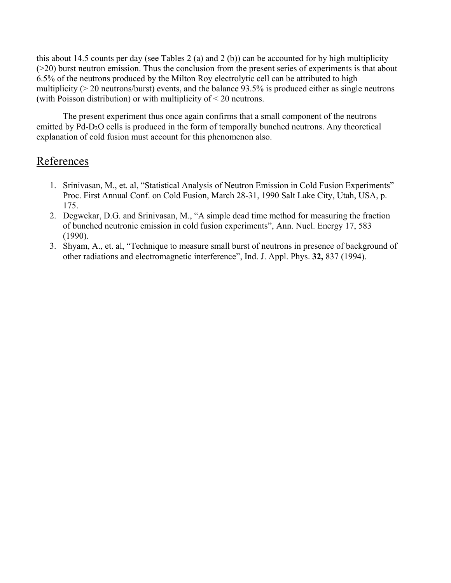this about 14.5 counts per day (see Tables 2 (a) and 2 (b)) can be accounted for by high multiplicity (>20) burst neutron emission. Thus the conclusion from the present series of experiments is that about 6.5% of the neutrons produced by the Milton Roy electrolytic cell can be attributed to high multiplicity (> 20 neutrons/burst) events, and the balance 93.5% is produced either as single neutrons (with Poisson distribution) or with multiplicity of < 20 neutrons.

The present experiment thus once again confirms that a small component of the neutrons emitted by Pd-D<sub>2</sub>O cells is produced in the form of temporally bunched neutrons. Any theoretical explanation of cold fusion must account for this phenomenon also.

## References

- 1. Srinivasan, M., et. al, "Statistical Analysis of Neutron Emission in Cold Fusion Experiments" Proc. First Annual Conf. on Cold Fusion, March 28-31, 1990 Salt Lake City, Utah, USA, p. 175.
- 2. Degwekar, D.G. and Srinivasan, M., "A simple dead time method for measuring the fraction of bunched neutronic emission in cold fusion experiments", Ann. Nucl. Energy 17, 583 (1990).
- 3. Shyam, A., et. al, "Technique to measure small burst of neutrons in presence of background of other radiations and electromagnetic interference", Ind. J. Appl. Phys. **32,** 837 (1994).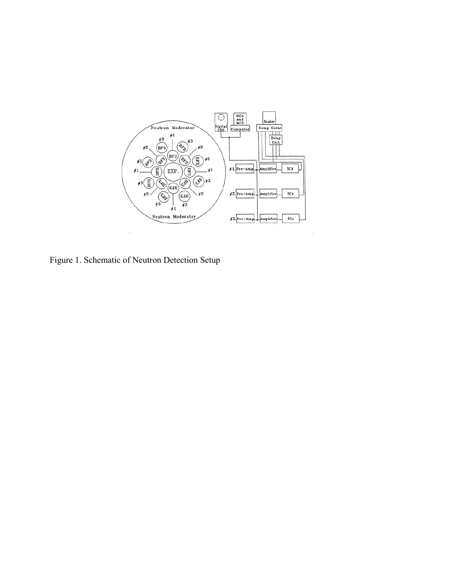

Figure 1. Schematic of Neutron Detection Setup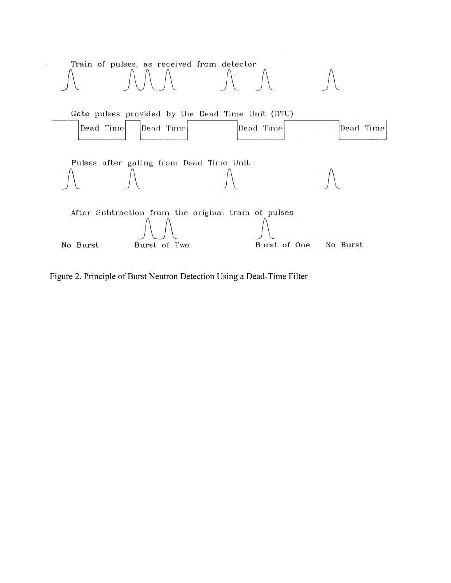

Figure 2. Principle of Burst Neutron Detection Using a Dead-Time Filter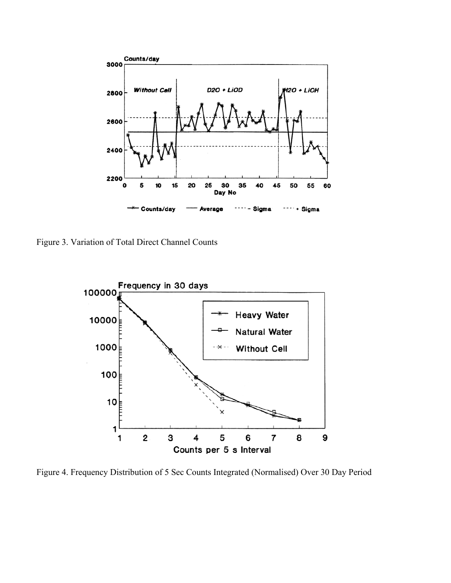

Figure 3. Variation of Total Direct Channel Counts



Figure 4. Frequency Distribution of 5 Sec Counts Integrated (Normalised) Over 30 Day Period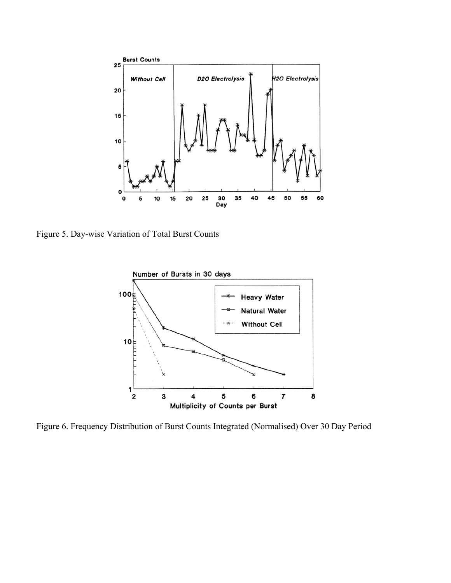

Figure 5. Day-wise Variation of Total Burst Counts



Figure 6. Frequency Distribution of Burst Counts Integrated (Normalised) Over 30 Day Period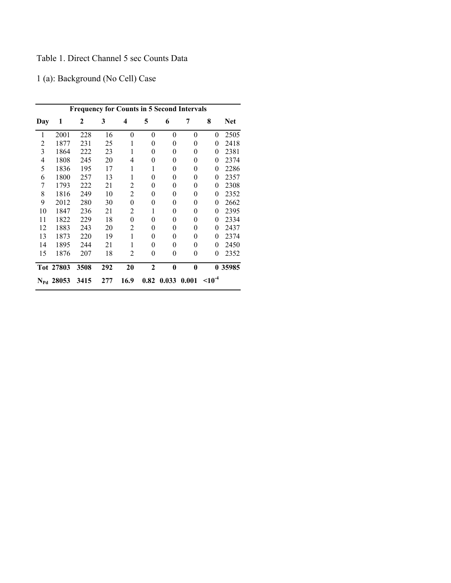### Table 1. Direct Channel 5 sec Counts Data

1 (a): Background (No Cell) Case

| <b>Frequency for Counts in 5 Second Intervals</b> |                    |      |     |      |              |          |          |                  |            |  |
|---------------------------------------------------|--------------------|------|-----|------|--------------|----------|----------|------------------|------------|--|
| Day                                               | 1                  | 2    | 3   | 4    | 5            | 6        | 7        | 8                | <b>Net</b> |  |
| 1                                                 | 2001               | 228  | 16  | 0    | $\theta$     | 0        | $\theta$ | $\boldsymbol{0}$ | 2505       |  |
| 2                                                 | 1877               | 231  | 25  | 1    | 0            | 0        | 0        | 0                | 2418       |  |
| 3                                                 | 1864               | 222  | 23  | 1    | 0            | 0        | $\theta$ | 0                | 2381       |  |
| $\overline{4}$                                    | 1808               | 245  | 20  | 4    | 0            | 0        | 0        | 0                | 2374       |  |
| 5                                                 | 1836               | 195  | 17  | 1    | 1            | $\theta$ | 0        | $\overline{0}$   | 2286       |  |
| 6                                                 | 1800               | 257  | 13  | 1    | $\Omega$     | $\theta$ | 0        | $\theta$         | 2357       |  |
| 7                                                 | 1793               | 222  | 21  | 2    | 0            | 0        | 0        | 0                | 2308       |  |
| 8                                                 | 1816               | 249  | 10  | 2    | 0            | 0        | 0        | 0                | 2352       |  |
| 9                                                 | 2012               | 280  | 30  | 0    | 0            | 0        | 0        | 0                | 2662       |  |
| 10                                                | 1847               | 236  | 21  | 2    | 1            | 0        | 0        | 0                | 2395       |  |
| 11                                                | 1822               | 229  | 18  | 0    | 0            | 0        | 0        | 0                | 2334       |  |
| 12                                                | 1883               | 243  | 20  | 2    | 0            | 0        | 0        | 0                | 2437       |  |
| 13                                                | 1873               | 220  | 19  | 1    | 0            | 0        | 0        | 0                | 2374       |  |
| 14                                                | 1895               | 244  | 21  | 1    | 0            | $\theta$ | $\theta$ | 0                | 2450       |  |
| 15                                                | 1876               | 207  | 18  | 2    | 0            | $\theta$ | 0        | $\overline{0}$   | 2352       |  |
|                                                   | Tot 27803          | 3508 | 292 | 20   | $\mathbf{2}$ | $\bf{0}$ | $\bf{0}$ |                  | 0 35985    |  |
|                                                   | $N_{\rm Pd}$ 28053 | 3415 | 277 | 16.9 | 0.82         | 0.033    | 0.001    | $10^{-4}$        |            |  |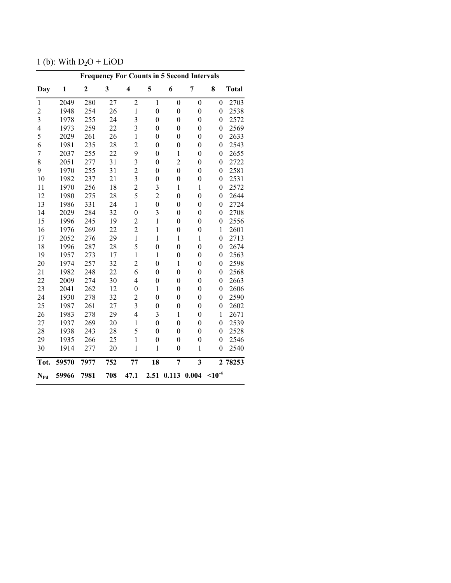1 (b): With  $D_2O + LiOD$ 

| <b>Frequency For Counts in 5 Second Intervals</b> |       |                  |     |                         |                  |                  |                         |                  |              |  |
|---------------------------------------------------|-------|------------------|-----|-------------------------|------------------|------------------|-------------------------|------------------|--------------|--|
| Day                                               | 1     | $\boldsymbol{2}$ | 3   | 4                       | 5                | 6                | 7                       | 8                | <b>Total</b> |  |
| $\mathbf{1}$                                      | 2049  | 280              | 27  | $\overline{c}$          | $\mathbf{1}$     | $\mathbf{0}$     | $\boldsymbol{0}$        | $\overline{0}$   | 2703         |  |
| $\overline{c}$                                    | 1948  | 254              | 26  | $\mathbf{1}$            | $\boldsymbol{0}$ | $\boldsymbol{0}$ | $\boldsymbol{0}$        | $\boldsymbol{0}$ | 2538         |  |
| $\overline{\mathbf{3}}$                           | 1978  | 255              | 24  | 3                       | $\boldsymbol{0}$ | $\boldsymbol{0}$ | $\boldsymbol{0}$        | $\boldsymbol{0}$ | 2572         |  |
| $\overline{4}$                                    | 1973  | 259              | 22  | 3                       | $\boldsymbol{0}$ | $\boldsymbol{0}$ | $\boldsymbol{0}$        | $\boldsymbol{0}$ | 2569         |  |
| 5                                                 | 2029  | 261              | 26  | $\,1$                   | $\boldsymbol{0}$ | $\boldsymbol{0}$ | $\boldsymbol{0}$        | $\boldsymbol{0}$ | 2633         |  |
| 6                                                 | 1981  | 235              | 28  | $\overline{c}$          | $\boldsymbol{0}$ | $\boldsymbol{0}$ | $\boldsymbol{0}$        | $\boldsymbol{0}$ | 2543         |  |
| $\overline{7}$                                    | 2037  | 255              | 22  | 9                       | $\boldsymbol{0}$ | $\mathbf{1}$     | $\boldsymbol{0}$        | $\boldsymbol{0}$ | 2655         |  |
| 8                                                 | 2051  | 277              | 31  | 3                       | $\boldsymbol{0}$ | $\overline{c}$   | $\mathbf{0}$            | $\boldsymbol{0}$ | 2722         |  |
| 9                                                 | 1970  | 255              | 31  | $\overline{c}$          | $\boldsymbol{0}$ | $\boldsymbol{0}$ | $\boldsymbol{0}$        | $\boldsymbol{0}$ | 2581         |  |
| 10                                                | 1982  | 237              | 21  | 3                       | $\boldsymbol{0}$ | $\overline{0}$   | $\boldsymbol{0}$        | $\boldsymbol{0}$ | 2531         |  |
| 11                                                | 1970  | 256              | 18  | $\overline{c}$          | 3                | $\mathbf{1}$     | $\mathbf{1}$            | $\boldsymbol{0}$ | 2572         |  |
| 12                                                | 1980  | 275              | 28  | 5                       | $\overline{2}$   | $\overline{0}$   | $\mathbf{0}$            | $\boldsymbol{0}$ | 2644         |  |
| 13                                                | 1986  | 331              | 24  | $\mathbf{1}$            | $\boldsymbol{0}$ | $\boldsymbol{0}$ | $\boldsymbol{0}$        | $\overline{0}$   | 2724         |  |
| 14                                                | 2029  | 284              | 32  | $\overline{0}$          | 3                | $\overline{0}$   | $\mathbf{0}$            | $\boldsymbol{0}$ | 2708         |  |
| 15                                                | 1996  | 245              | 19  | $\overline{2}$          | $\mathbf{1}$     | $\boldsymbol{0}$ | $\boldsymbol{0}$        | $\boldsymbol{0}$ | 2556         |  |
| 16                                                | 1976  | 269              | 22  | $\overline{2}$          | $\mathbf{1}$     | $\overline{0}$   | $\boldsymbol{0}$        | $\mathbf{1}$     | 2601         |  |
| 17                                                | 2052  | 276              | 29  | $\,1$                   | $\mathbf{1}$     | $\mathbf{1}$     | $\mathbf{1}$            | $\boldsymbol{0}$ | 2713         |  |
| 18                                                | 1996  | 287              | 28  | 5                       | $\overline{0}$   | $\overline{0}$   | $\boldsymbol{0}$        | $\boldsymbol{0}$ | 2674         |  |
| 19                                                | 1957  | 273              | 17  | $\mathbf{1}$            | $\mathbf{1}$     | $\boldsymbol{0}$ | $\boldsymbol{0}$        | $\boldsymbol{0}$ | 2563         |  |
| 20                                                | 1974  | 257              | 32  | $\overline{c}$          | $\overline{0}$   | 1                | $\boldsymbol{0}$        | $\boldsymbol{0}$ | 2598         |  |
| 21                                                | 1982  | 248              | 22  | 6                       | $\boldsymbol{0}$ | $\overline{0}$   | $\boldsymbol{0}$        | $\boldsymbol{0}$ | 2568         |  |
| 22                                                | 2009  | 274              | 30  | $\overline{4}$          | $\boldsymbol{0}$ | $\boldsymbol{0}$ | $\boldsymbol{0}$        | $\boldsymbol{0}$ | 2663         |  |
| 23                                                | 2041  | 262              | 12  | $\mathbf{0}$            | $\mathbf{1}$     | $\boldsymbol{0}$ | $\boldsymbol{0}$        | $\boldsymbol{0}$ | 2606         |  |
| 24                                                | 1930  | 278              | 32  | $\overline{c}$          | $\boldsymbol{0}$ | $\boldsymbol{0}$ | $\boldsymbol{0}$        | $\boldsymbol{0}$ | 2590         |  |
| 25                                                | 1987  | 261              | 27  | $\overline{\mathbf{3}}$ | $\boldsymbol{0}$ | $\overline{0}$   | $\boldsymbol{0}$        | $\boldsymbol{0}$ | 2602         |  |
| 26                                                | 1983  | 278              | 29  | $\overline{4}$          | 3                | $\mathbf{1}$     | $\boldsymbol{0}$        | $\mathbf{1}$     | 2671         |  |
| 27                                                | 1937  | 269              | 20  | $\mathbf{1}$            | $\overline{0}$   | $\overline{0}$   | $\boldsymbol{0}$        | $\boldsymbol{0}$ | 2539         |  |
| 28                                                | 1938  | 243              | 28  | 5                       | $\boldsymbol{0}$ | $\boldsymbol{0}$ | $\boldsymbol{0}$        | $\boldsymbol{0}$ | 2528         |  |
| 29                                                | 1935  | 266              | 25  | $\mathbf{1}$            | $\boldsymbol{0}$ | $\boldsymbol{0}$ | $\boldsymbol{0}$        | $\boldsymbol{0}$ | 2546         |  |
| 30                                                | 1914  | 277              | 20  | $\mathbf{1}$            | $\mathbf{1}$     | $\boldsymbol{0}$ | $\mathbf{1}$            | $\overline{0}$   | 2540         |  |
| Tot.                                              | 59570 | 7977             | 752 | 77                      | 18               | $\overline{7}$   | $\overline{\mathbf{3}}$ | $\mathbf{2}$     | 78253        |  |
| $\mathbf{N}_{\text{Pd}}$                          | 59966 | 7981             | 708 | 47.1                    | 2.51             |                  | $0.113$ $0.004$         | $< 10^{-4}$      |              |  |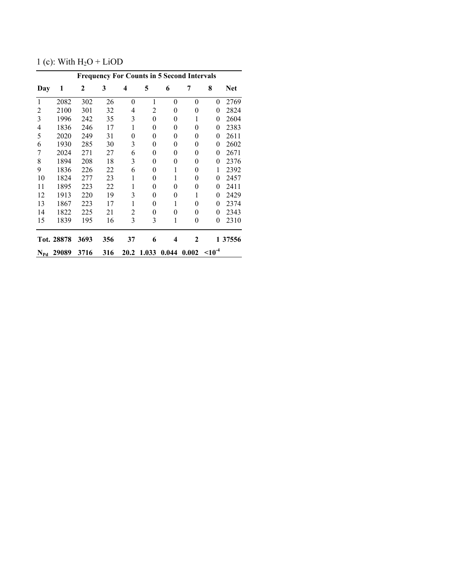1 (c): With  $H_2O + LiOD$ 

|              | <b>Frequency For Counts in 5 Second Intervals</b> |      |     |          |                |                |                |           |            |  |
|--------------|---------------------------------------------------|------|-----|----------|----------------|----------------|----------------|-----------|------------|--|
| Day          | 1                                                 | 2    | 3   | 4        | 5              | 6              | 7              | 8         | <b>Net</b> |  |
| $\mathbf{1}$ | 2082                                              | 302  | 26  | $\theta$ | 1              | $\theta$       | $\theta$       | $\theta$  | 2769       |  |
| 2            | 2100                                              | 301  | 32  | 4        | 2              | 0              | 0              | 0         | 2824       |  |
| 3            | 1996                                              | 242  | 35  | 3        | $\theta$       | $\theta$       | 1              | 0         | 2604       |  |
| 4            | 1836                                              | 246  | 17  | 1        | $\overline{0}$ | 0              | 0              | $\theta$  | 2383       |  |
| 5            | 2020                                              | 249  | 31  | 0        | 0              | $\overline{0}$ | 0              | 0         | 2611       |  |
| 6            | 1930                                              | 285  | 30  | 3        | 0              | 0              | 0              | 0         | 2602       |  |
| 7            | 2024                                              | 271  | 27  | 6        | 0              | 0              | $\theta$       | $\theta$  | 2671       |  |
| 8            | 1894                                              | 208  | 18  | 3        | 0              | $\theta$       | $\theta$       | $\theta$  | 2376       |  |
| 9            | 1836                                              | 226  | 22  | 6        | 0              | 1              | $\overline{0}$ | 1         | 2392       |  |
| 10           | 1824                                              | 277  | 23  | 1        | 0              | 1              | $\theta$       | 0         | 2457       |  |
| 11           | 1895                                              | 223  | 22  | 1        | 0              | 0              | 0              | 0         | 2411       |  |
| 12           | 1913                                              | 220  | 19  | 3        | 0              | 0              | 1              | 0         | 2429       |  |
| 13           | 1867                                              | 223  | 17  | 1        | 0              | 1              | $\theta$       | 0         | 2374       |  |
| 14           | 1822                                              | 225  | 21  | 2        | $\overline{0}$ | 0              | $\theta$       | $\theta$  | 2343       |  |
| 15           | 1839                                              | 195  | 16  | 3        | 3              | 1              | 0              | 0         | 2310       |  |
|              | Tot. 28878                                        | 3693 | 356 | 37       | 6              | 4              | 2              |           | 1 37556    |  |
| $N_{Pd}$     | 29089                                             | 3716 | 316 | 20.2     | 1.033          | 0.044          | 0.002          | $10^{-4}$ |            |  |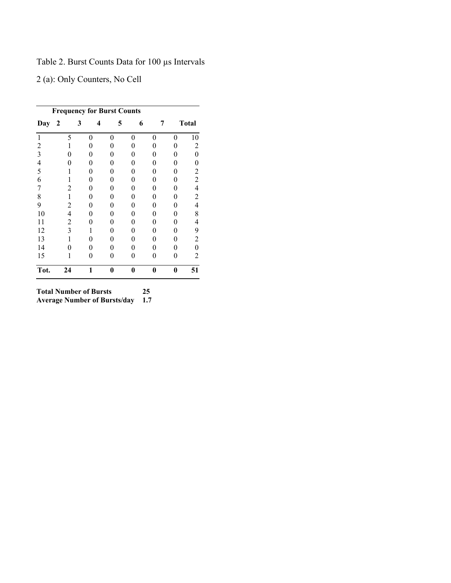Table 2. Burst Counts Data for 100 µs Intervals

2 (a): Only Counters, No Cell

| <b>Frequency for Burst Counts</b> |                |          |   |   |   |          |                |  |
|-----------------------------------|----------------|----------|---|---|---|----------|----------------|--|
| Day                               | $\overline{2}$ | 3        | 4 | 5 | 6 | 7        | <b>Total</b>   |  |
| 1                                 | 5              | $\theta$ | 0 | 0 | 0 | 0        | 10             |  |
| 2                                 |                | 0        |   | 0 | 0 | 0        | 2              |  |
| 3                                 | 0              | 0        | 0 | 0 | 0 | 0        | 0              |  |
| 4                                 | 0              | 0        |   | 0 | 0 | 0        | 0              |  |
| 5                                 |                | 0        | 0 | 0 | 0 | 0        | 2              |  |
| 6                                 |                | 0        |   | 0 | 0 | 0        | 2              |  |
| 7                                 | 2              | 0        |   | 0 | 0 | 0        | 4              |  |
| 8                                 | 1              | 0        | 0 | 0 | 0 | 0        | $\overline{c}$ |  |
| 9                                 | 2              | 0        |   | 0 | 0 | 0        | 4              |  |
| 10                                | 4              | 0        | 0 | 0 | 0 | 0        | 8              |  |
| 11                                | 2              | 0        |   | 0 | 0 |          | 4              |  |
| 12                                | 3              | 1        |   | 0 | 0 | 0        | 9              |  |
| 13                                | 1              | 0        | 0 | 0 | 0 | 0        | 2              |  |
| 14                                | 0              | 0        | 0 | 0 | 0 | 0        | 0              |  |
| 15                                | 1              | 0        | 0 | 0 | 0 | 0        | 2              |  |
| Tot.                              | 24             | 1        | 0 | 0 | 0 | $\bf{0}$ | 51             |  |

**Total Number of Bursts 25 Average Number of Bursts/day 1.7**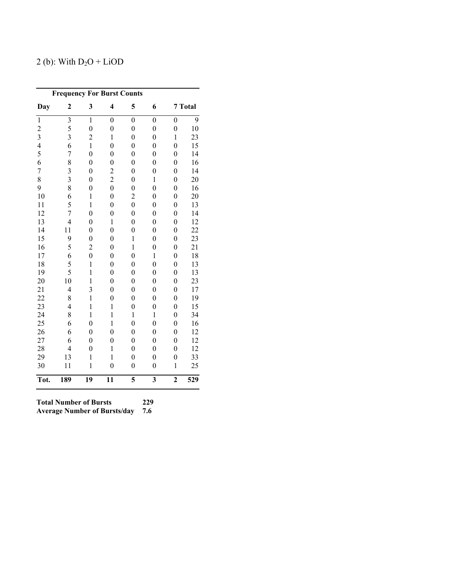### 2 (b): With  $D_2O + LiOD$

| <b>Frequency For Burst Counts</b> |                         |                  |                         |                  |                         |                  |         |  |  |
|-----------------------------------|-------------------------|------------------|-------------------------|------------------|-------------------------|------------------|---------|--|--|
| Day                               | $\overline{c}$          | 3                | $\overline{\mathbf{4}}$ | 5                | 6                       |                  | 7 Total |  |  |
| $\mathbf{1}$                      | $\overline{\mathbf{3}}$ | $\mathbf{1}$     | $\overline{0}$          | $\overline{0}$   | $\overline{0}$          | $\boldsymbol{0}$ | 9       |  |  |
| $\overline{c}$                    | 5                       | $\overline{0}$   | $\boldsymbol{0}$        | $\boldsymbol{0}$ | $\boldsymbol{0}$        | $\boldsymbol{0}$ | 10      |  |  |
| $\overline{\mathbf{3}}$           | 3                       | $\overline{c}$   | $\mathbf{1}$            | $\overline{0}$   | $\overline{0}$          | $\mathbf{1}$     | 23      |  |  |
| $\overline{4}$                    | 6                       | $\mathbf{1}$     | $\overline{0}$          | $\boldsymbol{0}$ | $\boldsymbol{0}$        | $\overline{0}$   | 15      |  |  |
| 5                                 | $\overline{7}$          | $\boldsymbol{0}$ | $\boldsymbol{0}$        | $\boldsymbol{0}$ | $\boldsymbol{0}$        | $\boldsymbol{0}$ | 14      |  |  |
| 6                                 | 8                       | $\boldsymbol{0}$ | $\overline{0}$          | $\overline{0}$   | $\boldsymbol{0}$        | $\boldsymbol{0}$ | 16      |  |  |
| $\overline{7}$                    | 3                       | $\overline{0}$   | $\overline{c}$          | $\overline{0}$   | $\overline{0}$          | $\overline{0}$   | 14      |  |  |
| 8                                 | $\overline{3}$          | $\overline{0}$   | $\overline{c}$          | $\overline{0}$   | $\mathbf{1}$            | $\overline{0}$   | 20      |  |  |
| 9                                 | 8                       | $\overline{0}$   | $\overline{0}$          | $\overline{0}$   | $\overline{0}$          | $\overline{0}$   | 16      |  |  |
| 10                                | 6                       | $\mathbf{1}$     | $\overline{0}$          | $\overline{c}$   | $\overline{0}$          | $\overline{0}$   | 20      |  |  |
| 11                                | 5                       | $\mathbf{1}$     | $\overline{0}$          | $\overline{0}$   | $\boldsymbol{0}$        | $\boldsymbol{0}$ | 13      |  |  |
| 12                                | 7                       | $\overline{0}$   | $\overline{0}$          | $\overline{0}$   | $\overline{0}$          | $\boldsymbol{0}$ | 14      |  |  |
| 13                                | $\overline{4}$          | $\overline{0}$   | $\mathbf{1}$            | $\boldsymbol{0}$ | $\overline{0}$          | $\boldsymbol{0}$ | 12      |  |  |
| 14                                | 11                      | $\boldsymbol{0}$ | $\overline{0}$          | $\boldsymbol{0}$ | $\boldsymbol{0}$        | $\boldsymbol{0}$ | 22      |  |  |
| 15                                | 9                       | $\boldsymbol{0}$ | $\boldsymbol{0}$        | $\mathbf{1}$     | $\boldsymbol{0}$        | $\boldsymbol{0}$ | 23      |  |  |
| 16                                | 5                       | $\overline{c}$   | $\overline{0}$          | $\mathbf{1}$     | $\boldsymbol{0}$        | $\boldsymbol{0}$ | 21      |  |  |
| 17                                | 6                       | $\overline{0}$   | $\overline{0}$          | $\overline{0}$   | $\,1$                   | $\boldsymbol{0}$ | 18      |  |  |
| 18                                | 5                       | $\mathbf{1}$     | $\overline{0}$          | $\overline{0}$   | $\overline{0}$          | $\overline{0}$   | 13      |  |  |
| 19                                | 5                       | $\mathbf{1}$     | $\overline{0}$          | $\overline{0}$   | $\overline{0}$          | $\overline{0}$   | 13      |  |  |
| 20                                | 10                      | $\mathbf{1}$     | $\overline{0}$          | $\overline{0}$   | $\overline{0}$          | $\boldsymbol{0}$ | 23      |  |  |
| 21                                | $\overline{4}$          | 3                | $\overline{0}$          | $\overline{0}$   | $\overline{0}$          | $\overline{0}$   | 17      |  |  |
| 22                                | 8                       | $\mathbf{1}$     | $\overline{0}$          | $\boldsymbol{0}$ | $\overline{0}$          | $\boldsymbol{0}$ | 19      |  |  |
| 23                                | $\overline{4}$          | $\mathbf{1}$     | $\mathbf{1}$            | $\boldsymbol{0}$ | $\boldsymbol{0}$        | $\boldsymbol{0}$ | 15      |  |  |
| 24                                | 8                       | $\mathbf{1}$     | $\mathbf{1}$            | $\mathbf{1}$     | $\,1$                   | $\boldsymbol{0}$ | 34      |  |  |
| 25                                | 6                       | $\overline{0}$   | $\mathbf{1}$            | $\boldsymbol{0}$ | $\overline{0}$          | $\boldsymbol{0}$ | 16      |  |  |
| 26                                | 6                       | $\boldsymbol{0}$ | $\overline{0}$          | $\boldsymbol{0}$ | $\boldsymbol{0}$        | $\boldsymbol{0}$ | 12      |  |  |
| 27                                | 6                       | $\overline{0}$   | $\overline{0}$          | $\overline{0}$   | $\overline{0}$          | $\boldsymbol{0}$ | 12      |  |  |
| 28                                | $\overline{4}$          | $\overline{0}$   | $\mathbf{1}$            | $\overline{0}$   | $\overline{0}$          | $\overline{0}$   | 12      |  |  |
| 29                                | 13                      | $\mathbf{1}$     | $\mathbf{1}$            | $\overline{0}$   | $\boldsymbol{0}$        | $\boldsymbol{0}$ | 33      |  |  |
| 30                                | 11                      | $\mathbf{1}$     | $\overline{0}$          | $\boldsymbol{0}$ | $\overline{0}$          | $\mathbf{1}$     | 25      |  |  |
| Tot.                              | 189                     | 19               | 11                      | 5                | $\overline{\mathbf{3}}$ | $\overline{2}$   | 529     |  |  |

**Total Number of Bursts 229 Average Number of Bursts/day 7.6**